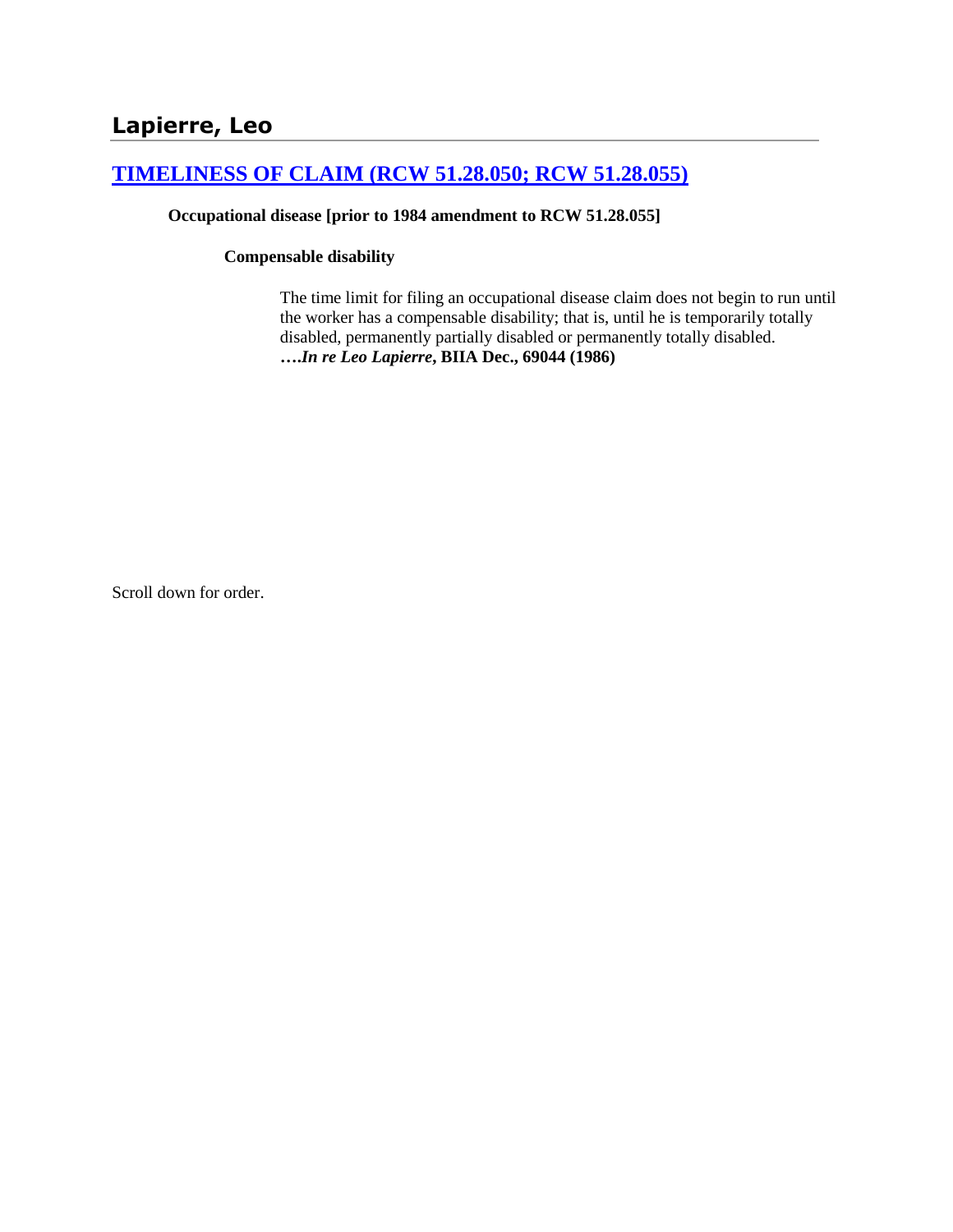# **[TIMELINESS OF CLAIM \(RCW 51.28.050; RCW 51.28.055\)](http://www.biia.wa.gov/SDSubjectIndex.html#TIMELINESS_OF_CLAIM)**

#### **Occupational disease [prior to 1984 amendment to RCW 51.28.055]**

#### **Compensable disability**

The time limit for filing an occupational disease claim does not begin to run until the worker has a compensable disability; that is, until he is temporarily totally disabled, permanently partially disabled or permanently totally disabled. **….***In re Leo Lapierre***, BIIA Dec., 69044 (1986)**

Scroll down for order.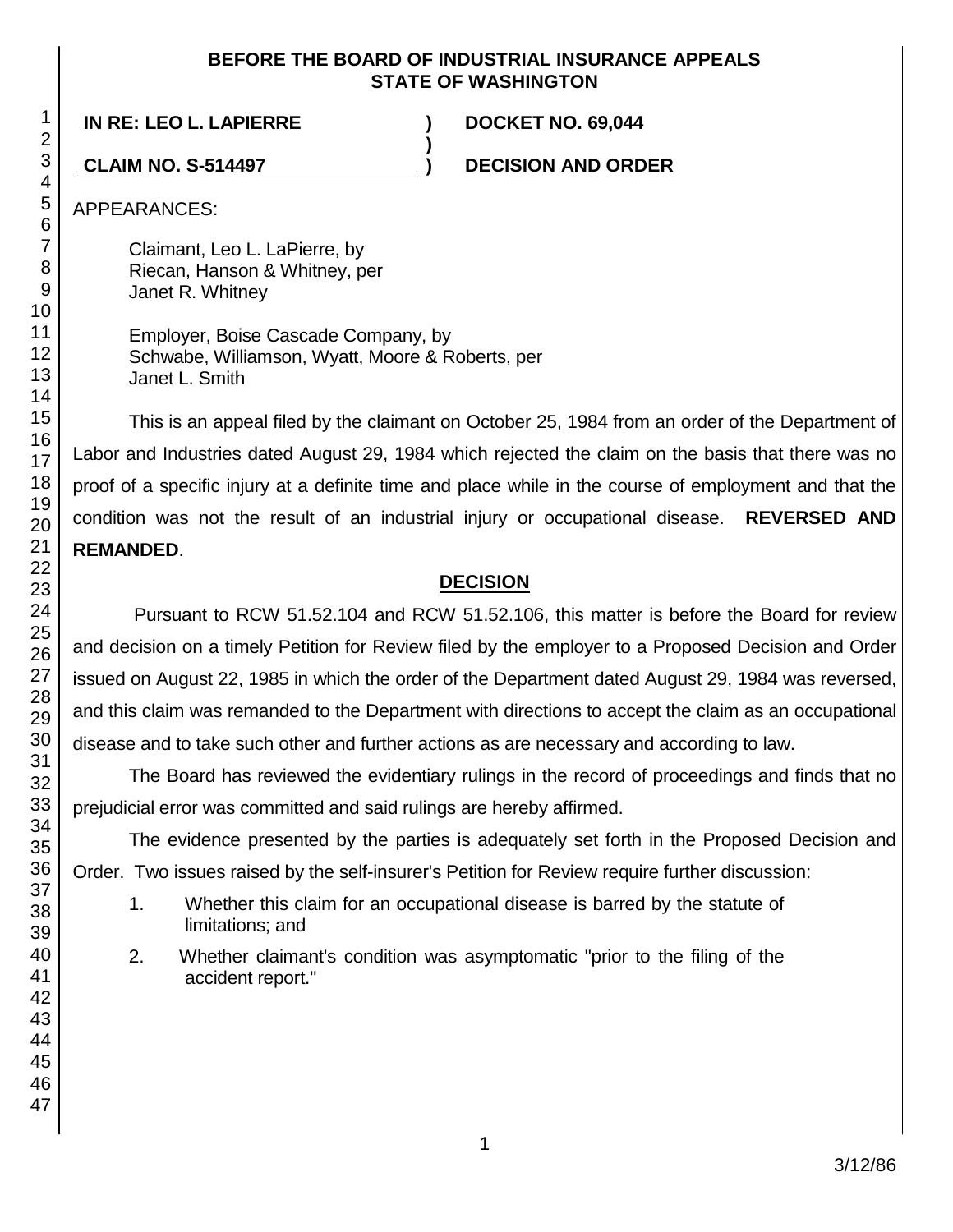#### **BEFORE THE BOARD OF INDUSTRIAL INSURANCE APPEALS STATE OF WASHINGTON**

**)**

**IN RE: LEO L. LAPIERRE ) DOCKET NO. 69,044**

**CLAIM NO. S-514497 ) DECISION AND ORDER**

APPEARANCES:

Claimant, Leo L. LaPierre, by Riecan, Hanson & Whitney, per Janet R. Whitney

Employer, Boise Cascade Company, by Schwabe, Williamson, Wyatt, Moore & Roberts, per Janet L. Smith

This is an appeal filed by the claimant on October 25, 1984 from an order of the Department of Labor and Industries dated August 29, 1984 which rejected the claim on the basis that there was no proof of a specific injury at a definite time and place while in the course of employment and that the condition was not the result of an industrial injury or occupational disease. **REVERSED AND REMANDED**.

## **DECISION**

Pursuant to RCW 51.52.104 and RCW 51.52.106, this matter is before the Board for review and decision on a timely Petition for Review filed by the employer to a Proposed Decision and Order issued on August 22, 1985 in which the order of the Department dated August 29, 1984 was reversed, and this claim was remanded to the Department with directions to accept the claim as an occupational disease and to take such other and further actions as are necessary and according to law.

The Board has reviewed the evidentiary rulings in the record of proceedings and finds that no prejudicial error was committed and said rulings are hereby affirmed.

The evidence presented by the parties is adequately set forth in the Proposed Decision and Order. Two issues raised by the self-insurer's Petition for Review require further discussion:

- 1. Whether this claim for an occupational disease is barred by the statute of limitations; and
- 2. Whether claimant's condition was asymptomatic "prior to the filing of the accident report."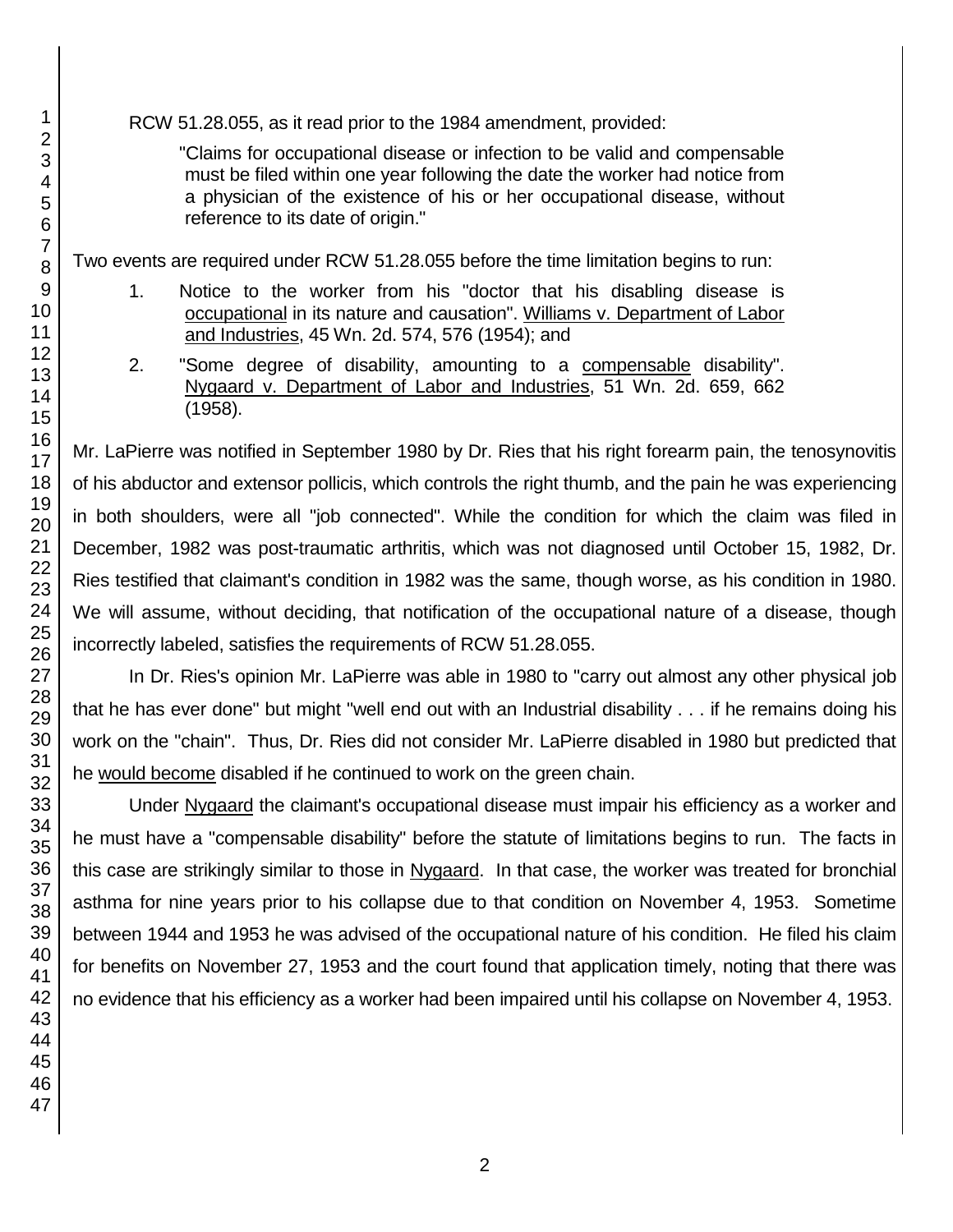RCW 51.28.055, as it read prior to the 1984 amendment, provided:

"Claims for occupational disease or infection to be valid and compensable must be filed within one year following the date the worker had notice from a physician of the existence of his or her occupational disease, without reference to its date of origin."

Two events are required under RCW 51.28.055 before the time limitation begins to run:

- 1. Notice to the worker from his "doctor that his disabling disease is occupational in its nature and causation". Williams v. Department of Labor and Industries, 45 Wn. 2d. 574, 576 (1954); and
- 2. "Some degree of disability, amounting to a compensable disability". Nygaard v. Department of Labor and Industries, 51 Wn. 2d. 659, 662 (1958).

Mr. LaPierre was notified in September 1980 by Dr. Ries that his right forearm pain, the tenosynovitis of his abductor and extensor pollicis, which controls the right thumb, and the pain he was experiencing in both shoulders, were all "job connected". While the condition for which the claim was filed in December, 1982 was post-traumatic arthritis, which was not diagnosed until October 15, 1982, Dr. Ries testified that claimant's condition in 1982 was the same, though worse, as his condition in 1980. We will assume, without deciding, that notification of the occupational nature of a disease, though incorrectly labeled, satisfies the requirements of RCW 51.28.055.

In Dr. Ries's opinion Mr. LaPierre was able in 1980 to "carry out almost any other physical job that he has ever done" but might "well end out with an Industrial disability . . . if he remains doing his work on the "chain". Thus, Dr. Ries did not consider Mr. LaPierre disabled in 1980 but predicted that he would become disabled if he continued to work on the green chain.

Under Nygaard the claimant's occupational disease must impair his efficiency as a worker and he must have a "compensable disability" before the statute of limitations begins to run. The facts in this case are strikingly similar to those in Nygaard. In that case, the worker was treated for bronchial asthma for nine years prior to his collapse due to that condition on November 4, 1953. Sometime between 1944 and 1953 he was advised of the occupational nature of his condition. He filed his claim for benefits on November 27, 1953 and the court found that application timely, noting that there was no evidence that his efficiency as a worker had been impaired until his collapse on November 4, 1953.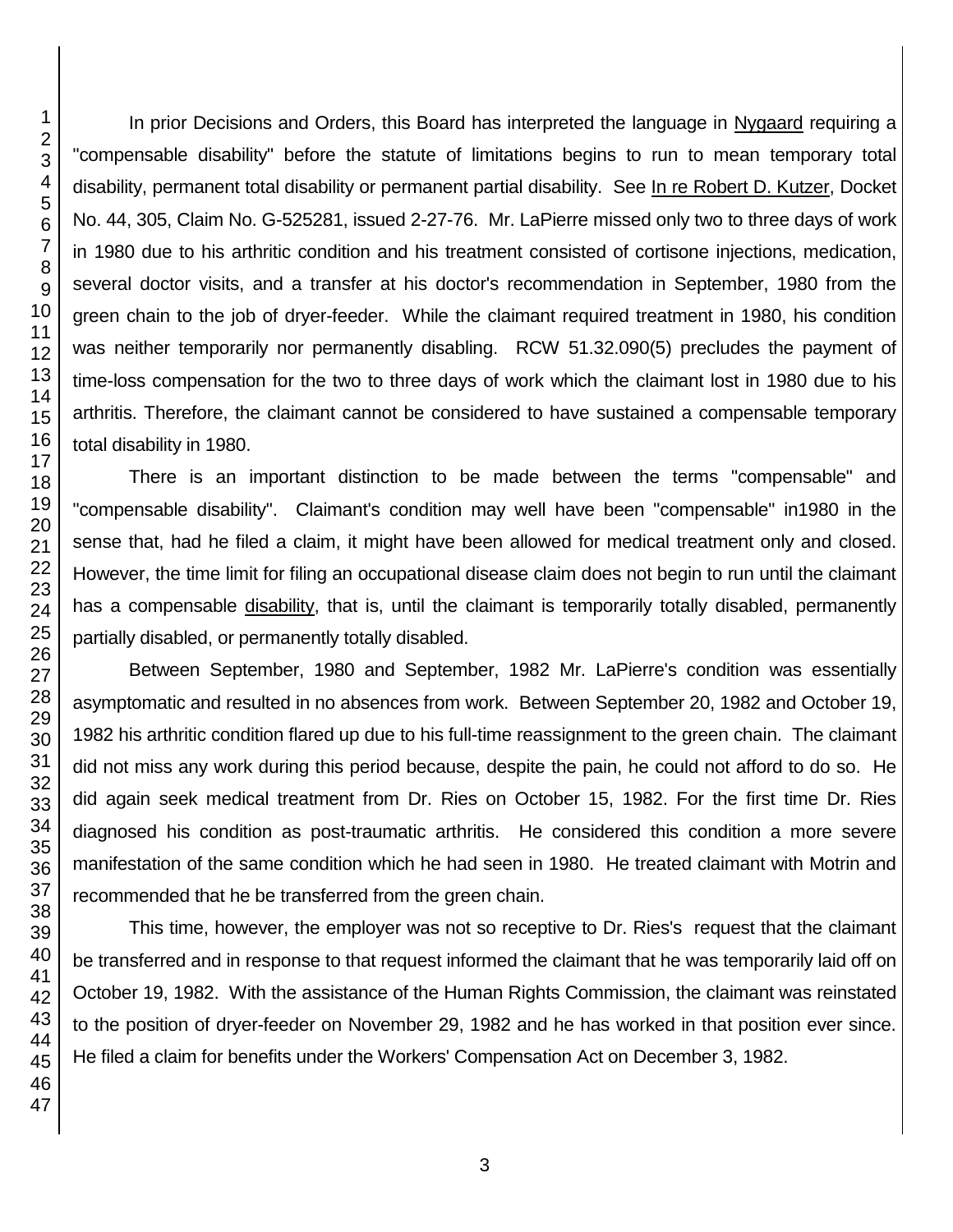In prior Decisions and Orders, this Board has interpreted the language in Nygaard requiring a "compensable disability" before the statute of limitations begins to run to mean temporary total disability, permanent total disability or permanent partial disability. See In re Robert D. Kutzer, Docket No. 44, 305, Claim No. G-525281, issued 2-27-76. Mr. LaPierre missed only two to three days of work in 1980 due to his arthritic condition and his treatment consisted of cortisone injections, medication, several doctor visits, and a transfer at his doctor's recommendation in September, 1980 from the green chain to the job of dryer-feeder. While the claimant required treatment in 1980, his condition was neither temporarily nor permanently disabling. RCW 51.32.090(5) precludes the payment of time-loss compensation for the two to three days of work which the claimant lost in 1980 due to his arthritis. Therefore, the claimant cannot be considered to have sustained a compensable temporary total disability in 1980.

There is an important distinction to be made between the terms "compensable" and "compensable disability". Claimant's condition may well have been "compensable" in1980 in the sense that, had he filed a claim, it might have been allowed for medical treatment only and closed. However, the time limit for filing an occupational disease claim does not begin to run until the claimant has a compensable disability, that is, until the claimant is temporarily totally disabled, permanently partially disabled, or permanently totally disabled.

Between September, 1980 and September, 1982 Mr. LaPierre's condition was essentially asymptomatic and resulted in no absences from work. Between September 20, 1982 and October 19, 1982 his arthritic condition flared up due to his full-time reassignment to the green chain. The claimant did not miss any work during this period because, despite the pain, he could not afford to do so. He did again seek medical treatment from Dr. Ries on October 15, 1982. For the first time Dr. Ries diagnosed his condition as post-traumatic arthritis. He considered this condition a more severe manifestation of the same condition which he had seen in 1980. He treated claimant with Motrin and recommended that he be transferred from the green chain.

This time, however, the employer was not so receptive to Dr. Ries's request that the claimant be transferred and in response to that request informed the claimant that he was temporarily laid off on October 19, 1982. With the assistance of the Human Rights Commission, the claimant was reinstated to the position of dryer-feeder on November 29, 1982 and he has worked in that position ever since. He filed a claim for benefits under the Workers' Compensation Act on December 3, 1982.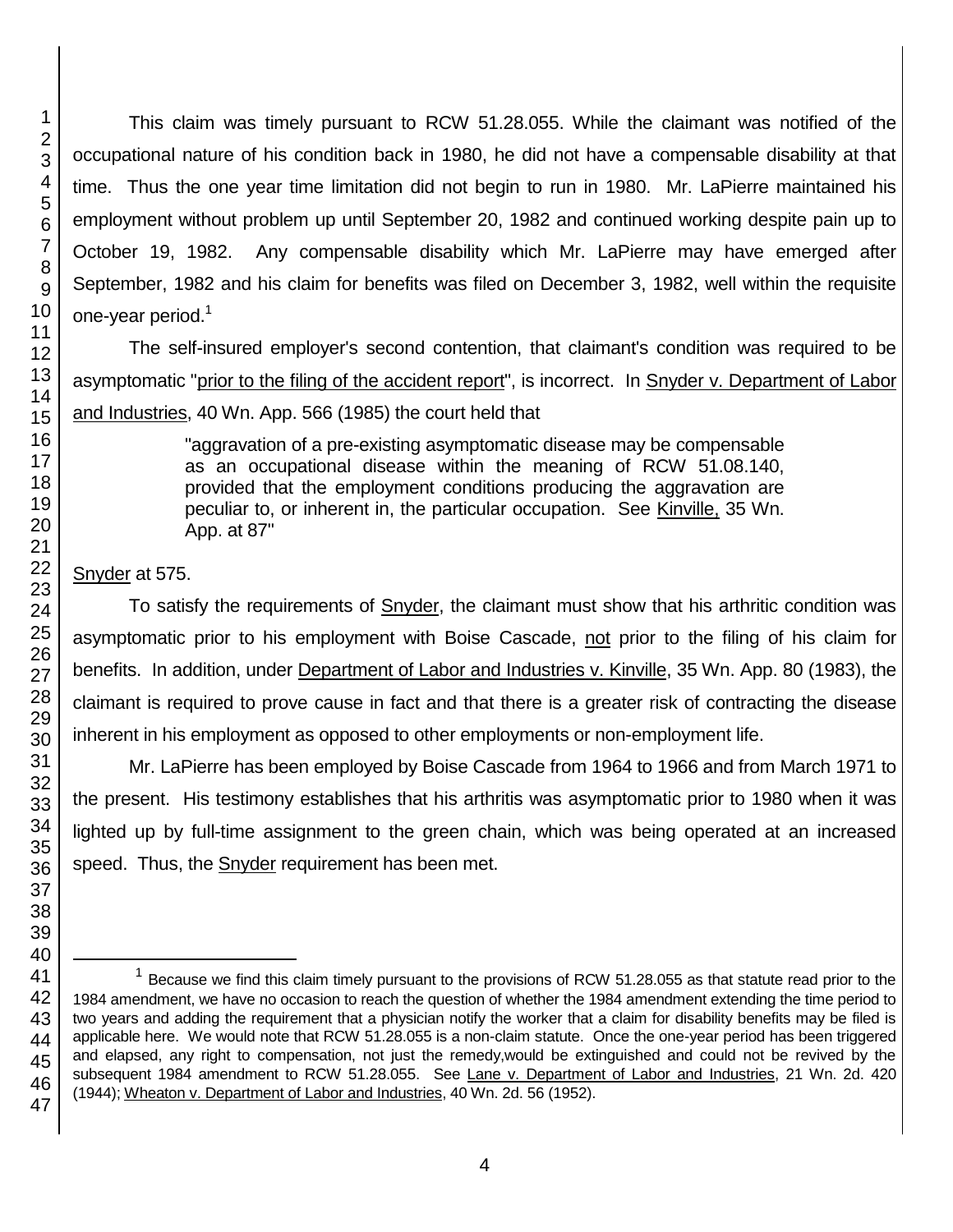This claim was timely pursuant to RCW 51.28.055. While the claimant was notified of the occupational nature of his condition back in 1980, he did not have a compensable disability at that time. Thus the one year time limitation did not begin to run in 1980. Mr. LaPierre maintained his employment without problem up until September 20, 1982 and continued working despite pain up to October 19, 1982. Any compensable disability which Mr. LaPierre may have emerged after September, 1982 and his claim for benefits was filed on December 3, 1982, well within the requisite one-year period.<sup>1</sup>

The self-insured employer's second contention, that claimant's condition was required to be asymptomatic "prior to the filing of the accident report", is incorrect. In Snyder v. Department of Labor and Industries, 40 Wn. App. 566 (1985) the court held that

> "aggravation of a pre-existing asymptomatic disease may be compensable as an occupational disease within the meaning of RCW 51.08.140, provided that the employment conditions producing the aggravation are peculiar to, or inherent in, the particular occupation. See Kinville, 35 Wn. App. at 87"

# Snyder at 575.

To satisfy the requirements of Snyder, the claimant must show that his arthritic condition was asymptomatic prior to his employment with Boise Cascade, not prior to the filing of his claim for benefits. In addition, under Department of Labor and Industries v. Kinville, 35 Wn. App. 80 (1983), the claimant is required to prove cause in fact and that there is a greater risk of contracting the disease inherent in his employment as opposed to other employments or non-employment life.

Mr. LaPierre has been employed by Boise Cascade from 1964 to 1966 and from March 1971 to the present. His testimony establishes that his arthritis was asymptomatic prior to 1980 when it was lighted up by full-time assignment to the green chain, which was being operated at an increased speed. Thus, the Snyder requirement has been met.

l

 Because we find this claim timely pursuant to the provisions of RCW 51.28.055 as that statute read prior to the 1984 amendment, we have no occasion to reach the question of whether the 1984 amendment extending the time period to two years and adding the requirement that a physician notify the worker that a claim for disability benefits may be filed is applicable here. We would note that RCW 51.28.055 is a non-claim statute. Once the one-year period has been triggered and elapsed, any right to compensation, not just the remedy,would be extinguished and could not be revived by the subsequent 1984 amendment to RCW 51.28.055. See Lane v. Department of Labor and Industries, 21 Wn. 2d. 420 (1944); Wheaton v. Department of Labor and Industries, 40 Wn. 2d. 56 (1952).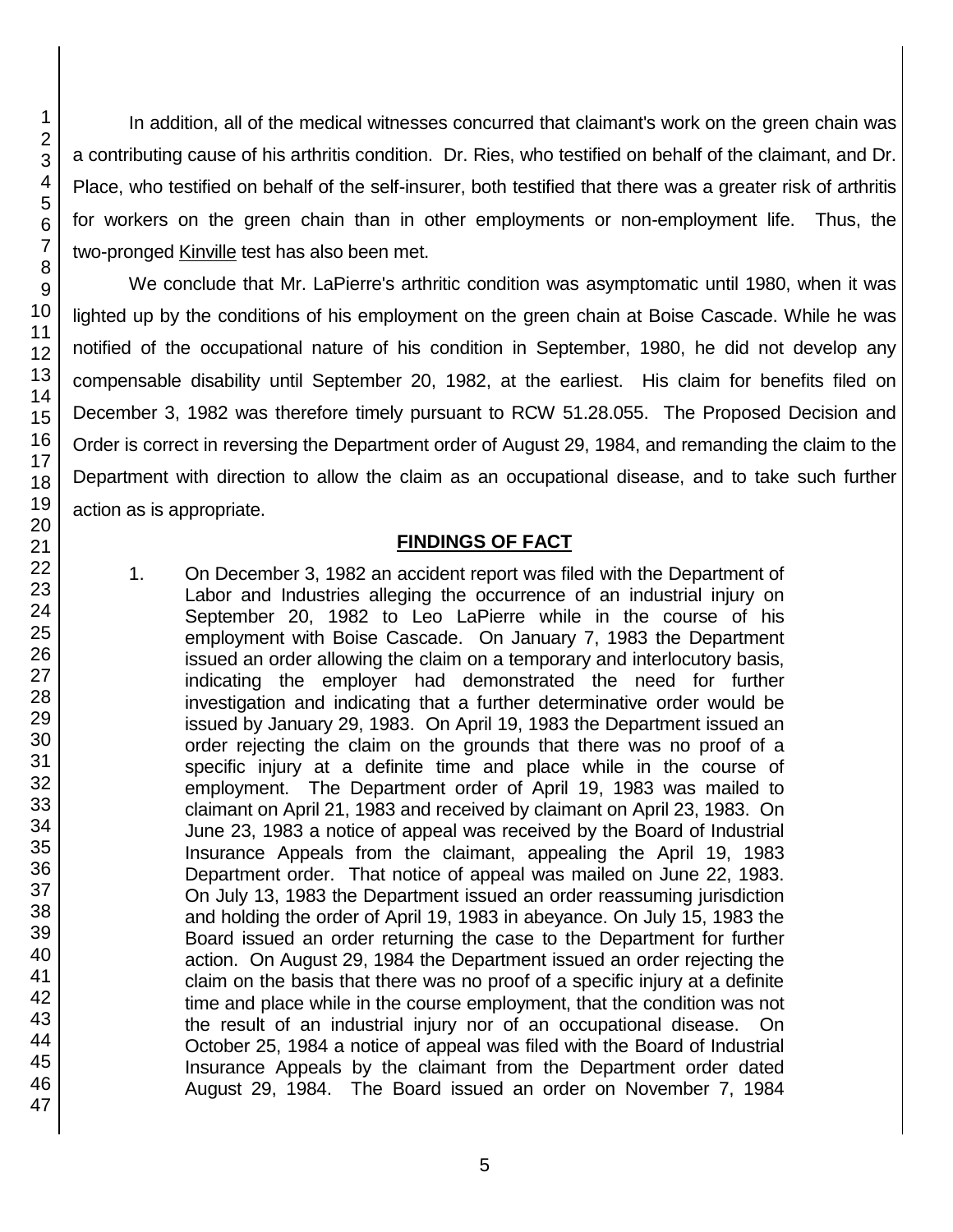In addition, all of the medical witnesses concurred that claimant's work on the green chain was a contributing cause of his arthritis condition. Dr. Ries, who testified on behalf of the claimant, and Dr. Place, who testified on behalf of the self-insurer, both testified that there was a greater risk of arthritis for workers on the green chain than in other employments or non-employment life. Thus, the two-pronged Kinville test has also been met.

We conclude that Mr. LaPierre's arthritic condition was asymptomatic until 1980, when it was lighted up by the conditions of his employment on the green chain at Boise Cascade. While he was notified of the occupational nature of his condition in September, 1980, he did not develop any compensable disability until September 20, 1982, at the earliest. His claim for benefits filed on December 3, 1982 was therefore timely pursuant to RCW 51.28.055. The Proposed Decision and Order is correct in reversing the Department order of August 29, 1984, and remanding the claim to the Department with direction to allow the claim as an occupational disease, and to take such further action as is appropriate.

### **FINDINGS OF FACT**

1. On December 3, 1982 an accident report was filed with the Department of Labor and Industries alleging the occurrence of an industrial injury on September 20, 1982 to Leo LaPierre while in the course of his employment with Boise Cascade. On January 7, 1983 the Department issued an order allowing the claim on a temporary and interlocutory basis, indicating the employer had demonstrated the need for further investigation and indicating that a further determinative order would be issued by January 29, 1983. On April 19, 1983 the Department issued an order rejecting the claim on the grounds that there was no proof of a specific injury at a definite time and place while in the course of employment. The Department order of April 19, 1983 was mailed to claimant on April 21, 1983 and received by claimant on April 23, 1983. On June 23, 1983 a notice of appeal was received by the Board of Industrial Insurance Appeals from the claimant, appealing the April 19, 1983 Department order. That notice of appeal was mailed on June 22, 1983. On July 13, 1983 the Department issued an order reassuming jurisdiction and holding the order of April 19, 1983 in abeyance. On July 15, 1983 the Board issued an order returning the case to the Department for further action. On August 29, 1984 the Department issued an order rejecting the claim on the basis that there was no proof of a specific injury at a definite time and place while in the course employment, that the condition was not the result of an industrial injury nor of an occupational disease. On October 25, 1984 a notice of appeal was filed with the Board of Industrial Insurance Appeals by the claimant from the Department order dated August 29, 1984. The Board issued an order on November 7, 1984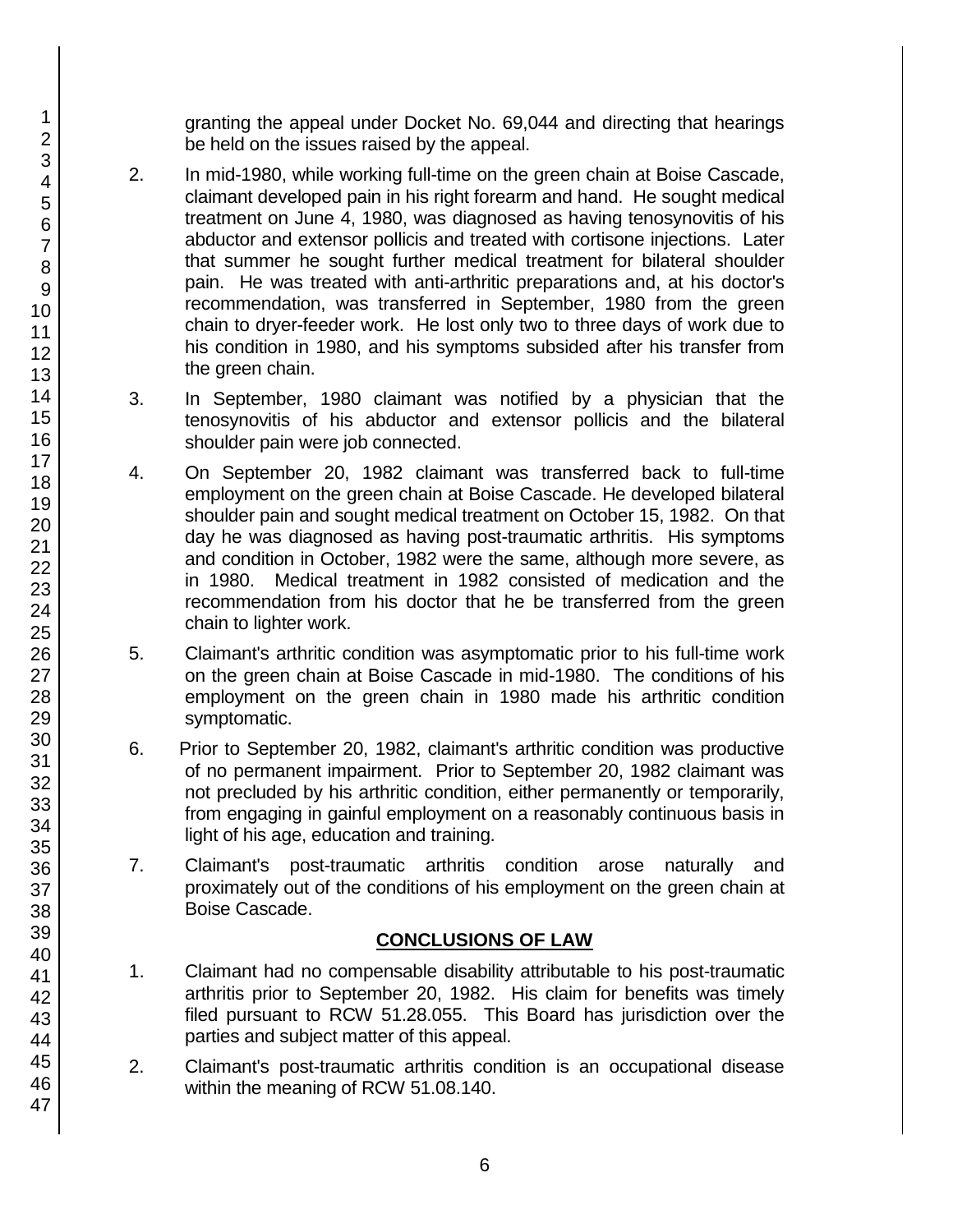granting the appeal under Docket No. 69,044 and directing that hearings be held on the issues raised by the appeal.

- 2. In mid-1980, while working full-time on the green chain at Boise Cascade, claimant developed pain in his right forearm and hand. He sought medical treatment on June 4, 1980, was diagnosed as having tenosynovitis of his abductor and extensor pollicis and treated with cortisone injections. Later that summer he sought further medical treatment for bilateral shoulder pain. He was treated with anti-arthritic preparations and, at his doctor's recommendation, was transferred in September, 1980 from the green chain to dryer-feeder work. He lost only two to three days of work due to his condition in 1980, and his symptoms subsided after his transfer from the green chain.
- 3. In September, 1980 claimant was notified by a physician that the tenosynovitis of his abductor and extensor pollicis and the bilateral shoulder pain were job connected.
- 4. On September 20, 1982 claimant was transferred back to full-time employment on the green chain at Boise Cascade. He developed bilateral shoulder pain and sought medical treatment on October 15, 1982. On that day he was diagnosed as having post-traumatic arthritis. His symptoms and condition in October, 1982 were the same, although more severe, as in 1980. Medical treatment in 1982 consisted of medication and the recommendation from his doctor that he be transferred from the green chain to lighter work.
- 5. Claimant's arthritic condition was asymptomatic prior to his full-time work on the green chain at Boise Cascade in mid-1980. The conditions of his employment on the green chain in 1980 made his arthritic condition symptomatic.
- 6. Prior to September 20, 1982, claimant's arthritic condition was productive of no permanent impairment. Prior to September 20, 1982 claimant was not precluded by his arthritic condition, either permanently or temporarily, from engaging in gainful employment on a reasonably continuous basis in light of his age, education and training.
- 7. Claimant's post-traumatic arthritis condition arose naturally and proximately out of the conditions of his employment on the green chain at Boise Cascade.

# **CONCLUSIONS OF LAW**

- 1. Claimant had no compensable disability attributable to his post-traumatic arthritis prior to September 20, 1982. His claim for benefits was timely filed pursuant to RCW 51.28.055. This Board has jurisdiction over the parties and subject matter of this appeal.
- 2. Claimant's post-traumatic arthritis condition is an occupational disease within the meaning of RCW 51.08.140.